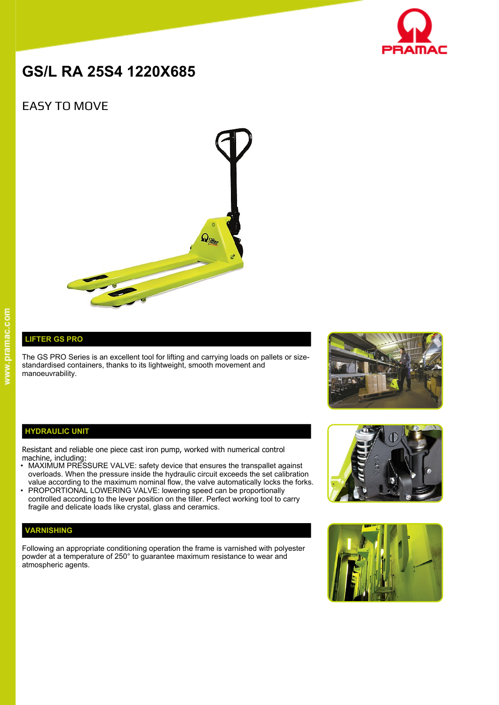

# **GS/L RA 25S4 1220X685**

# EASY TO MOVE



## **LIFTER GS PRO**

The GS PRO Series is an excellent tool for lifting and carrying loads on pallets or sizestandardised containers, thanks to its lightweight, smooth movement and manoeuvrability.



#### **HYDRAULIC UNIT**

Resistant and reliable one piece cast iron pump, worked with numerical control machine, including:

- MAXIMUM PRESSURE VALVE: safety device that ensures the transpallet against overloads. When the pressure inside the hydraulic circuit exceeds the set calibration value according to the maximum nominal flow, the valve automatically locks the forks.
- PROPORTIONAL LOWERING VALVE: lowering speed can be proportionally controlled according to the lever position on the tiller. Perfect working tool to carry fragile and delicate loads like crystal, glass and ceramics.

### **VARNISHING**

Following an appropriate conditioning operation the frame is varnished with polyester powder at a temperature of 250° to guarantee maximum resistance to wear and atmospheric agents.



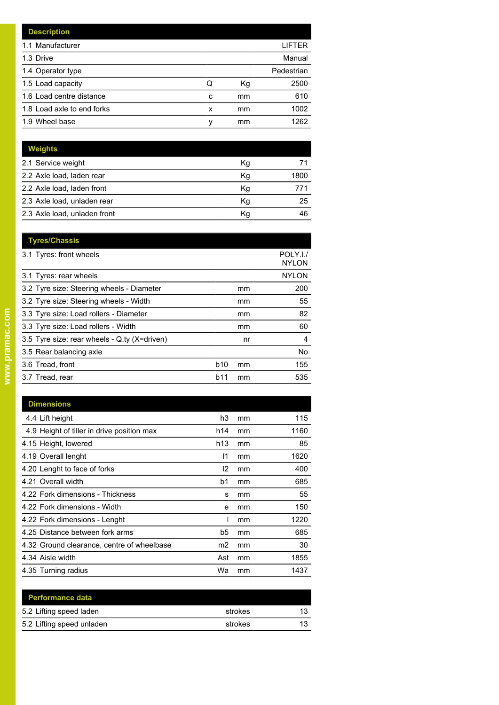| <b>Description</b>         |   |    |            |
|----------------------------|---|----|------------|
| 1.1 Manufacturer           |   |    | LIFTER     |
| 1.3 Drive                  |   |    | Manual     |
| 1.4 Operator type          |   |    | Pedestrian |
| 1.5 Load capacity          | Q | Кg | 2500       |
| 1.6 Load centre distance   | c | mm | 610        |
| 1.8 Load axle to end forks | x | mm | 1002       |
| 1.9 Wheel base             | v | mm | 1262       |

| <b>Weights</b>               |    |      |
|------------------------------|----|------|
| 2.1 Service weight           | Κq |      |
| 2.2 Axle load, laden rear    | Kq | 1800 |
| 2.2 Axle load, laden front   | Kg |      |
| 2.3 Axle load, unladen rear  | Κq | 25   |
| 2.3 Axle load, unladen front | Κq | 46   |

| <b>Tyres/Chassis</b>                         |            |    |                          |
|----------------------------------------------|------------|----|--------------------------|
| 3.1 Tyres: front wheels                      |            |    | POLY.I./<br><b>NYLON</b> |
| 3.1 Tyres: rear wheels                       |            |    | <b>NYLON</b>             |
| 3.2 Tyre size: Steering wheels - Diameter    |            | mm | 200                      |
| 3.2 Tyre size: Steering wheels - Width       |            | mm | 55                       |
| 3.3 Tyre size: Load rollers - Diameter       |            | mm | 82                       |
| 3.3 Tyre size: Load rollers - Width          |            | mm | 60                       |
| 3.5 Tyre size: rear wheels - Q.ty (X=driven) |            | nr | 4                        |
| 3.5 Rear balancing axle                      |            |    | No                       |
| 3.6 Tread, front                             | <b>b10</b> | mm | 155                      |
| 3.7 Tread, rear                              | b11        | mm | 535                      |

| <b>Dimensions</b>                          |                |    |      |
|--------------------------------------------|----------------|----|------|
| 4.4 Lift height                            | h3             | mm | 115  |
| 4.9 Height of tiller in drive position max | h14            | mm | 1160 |
| 4.15 Height, lowered                       | h13            | mm | 85   |
| 4.19 Overall lenght                        | 11             | mm | 1620 |
| 4.20 Lenght to face of forks               | 12             | mm | 400  |
| 4.21 Overall width                         | b1             | mm | 685  |
| 4.22 Fork dimensions - Thickness           | s              | mm | 55   |
| 4.22 Fork dimensions - Width               | е              | mm | 150  |
| 4.22 Fork dimensions - Lenght              |                | mm | 1220 |
| 4.25 Distance between fork arms            | b5             | mm | 685  |
| 4.32 Ground clearance, centre of wheelbase | m <sub>2</sub> | mm | 30   |
| 4.34 Aisle width                           | Ast            | mm | 1855 |
| 4.35 Turning radius                        | Wa             | mm | 1437 |

| <b>Performance data</b>   |         |    |
|---------------------------|---------|----|
| 5.2 Lifting speed laden   | strokes | 13 |
| 5.2 Lifting speed unladen | strokes | 13 |
|                           |         |    |